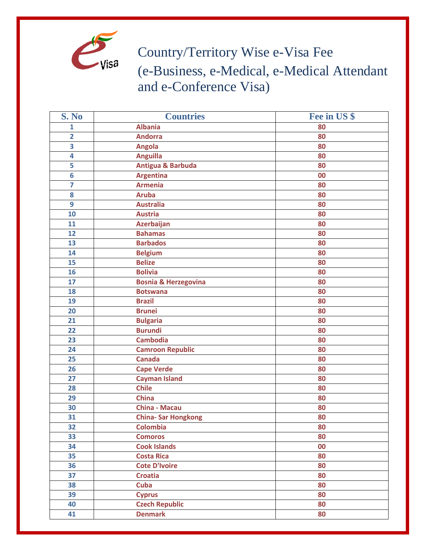

Country/Territory Wise e-Visa Fee (e-Business, e-Medical, e-Medical Attendant and e-Conference Visa)

| S. No                   | <b>Countries</b>                | Fee in US \$ |
|-------------------------|---------------------------------|--------------|
| 1                       | <b>Albania</b>                  | 80           |
| $\overline{\mathbf{2}}$ | <b>Andorra</b>                  | 80           |
| 3                       | <b>Angola</b>                   | 80           |
| 4                       | <b>Anguilla</b>                 | 80           |
| 5                       | <b>Antigua &amp; Barbuda</b>    | 80           |
| 6                       | <b>Argentina</b>                | 00           |
| $\overline{7}$          | <b>Armenia</b>                  | 80           |
| 8                       | <b>Aruba</b>                    | 80           |
| 9                       | <b>Australia</b>                | 80           |
| 10                      | <b>Austria</b>                  | 80           |
| 11                      | <b>Azerbaijan</b>               | 80           |
| 12                      | <b>Bahamas</b>                  | 80           |
| 13                      | <b>Barbados</b>                 | 80           |
| 14                      | <b>Belgium</b>                  | 80           |
| 15                      | <b>Belize</b>                   | 80           |
| 16                      | <b>Bolivia</b>                  | 80           |
| 17                      | <b>Bosnia &amp; Herzegovina</b> | 80           |
| 18                      | <b>Botswana</b>                 | 80           |
| 19                      | <b>Brazil</b>                   | 80           |
| 20                      | <b>Brunei</b>                   | 80           |
| 21                      | <b>Bulgaria</b>                 | 80           |
| 22                      | <b>Burundi</b>                  | 80           |
| 23                      | <b>Cambodia</b>                 | 80           |
| 24                      | <b>Camroon Republic</b>         | 80           |
| 25                      | <b>Canada</b>                   | 80           |
| 26                      | <b>Cape Verde</b>               | 80           |
| 27                      | <b>Cayman Island</b>            | 80           |
| 28                      | <b>Chile</b>                    | 80           |
| 29                      | <b>China</b>                    | 80           |
| 30                      | <b>China - Macau</b>            | 80           |
| 31                      | <b>China-Sar Hongkong</b>       | 80           |
| 32                      | <b>Colombia</b>                 | 80           |
| 33                      | <b>Comoros</b>                  | 80           |
| 34                      | <b>Cook Islands</b>             | 00           |
| 35                      | <b>Costa Rica</b>               | 80           |
| 36                      | <b>Cote D'Ivoire</b>            | 80           |
| 37                      | <b>Croatia</b>                  | 80           |
| 38                      | Cuba                            | 80           |
| 39                      | <b>Cyprus</b>                   | 80           |
| 40                      | <b>Czech Republic</b>           | 80           |
| 41                      | <b>Denmark</b>                  | 80           |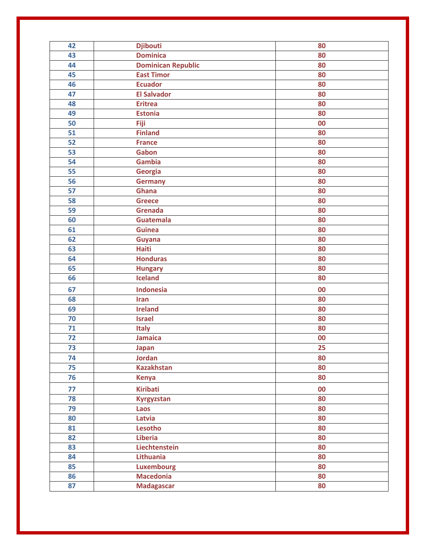| 42 | <b>Djibouti</b>           | 80 |
|----|---------------------------|----|
| 43 | <b>Dominica</b>           | 80 |
| 44 | <b>Dominican Republic</b> | 80 |
| 45 | <b>East Timor</b>         | 80 |
| 46 | <b>Ecuador</b>            | 80 |
| 47 | <b>El Salvador</b>        | 80 |
| 48 | <b>Eritrea</b>            | 80 |
| 49 | <b>Estonia</b>            | 80 |
| 50 | <b>Fiji</b>               | 00 |
| 51 | <b>Finland</b>            | 80 |
| 52 | <b>France</b>             | 80 |
| 53 | Gabon                     | 80 |
| 54 | <b>Gambia</b>             | 80 |
| 55 | <b>Georgia</b>            | 80 |
| 56 | <b>Germany</b>            | 80 |
| 57 | <b>Ghana</b>              | 80 |
| 58 | <b>Greece</b>             | 80 |
| 59 | <b>Grenada</b>            | 80 |
| 60 | <b>Guatemala</b>          | 80 |
| 61 | <b>Guinea</b>             | 80 |
| 62 | <b>Guyana</b>             | 80 |
| 63 | <b>Haiti</b>              | 80 |
| 64 | <b>Honduras</b>           | 80 |
| 65 | <b>Hungary</b>            | 80 |
| 66 | <b>Iceland</b>            | 80 |
| 67 | <b>Indonesia</b>          | 00 |
| 68 | <b>Iran</b>               | 80 |
| 69 | <b>Ireland</b>            | 80 |
| 70 | <b>Israel</b>             | 80 |
| 71 | <b>Italy</b>              | 80 |
| 72 | <b>Jamaica</b>            | 00 |
| 73 | <b>Japan</b>              | 25 |
| 74 | <b>Jordan</b>             | 80 |
| 75 | <b>Kazakhstan</b>         | 80 |
| 76 | <b>Kenya</b>              | 80 |
| 77 | <b>Kiribati</b>           | 00 |
| 78 | <b>Kyrgyzstan</b>         | 80 |
| 79 | Laos                      | 80 |
| 80 | Latvia                    | 80 |
| 81 | Lesotho                   | 80 |
| 82 | <b>Liberia</b>            | 80 |
| 83 | Liechtenstein             | 80 |
| 84 | <b>Lithuania</b>          | 80 |
| 85 | <b>Luxembourg</b>         | 80 |
| 86 | <b>Macedonia</b>          | 80 |
| 87 | <b>Madagascar</b>         | 80 |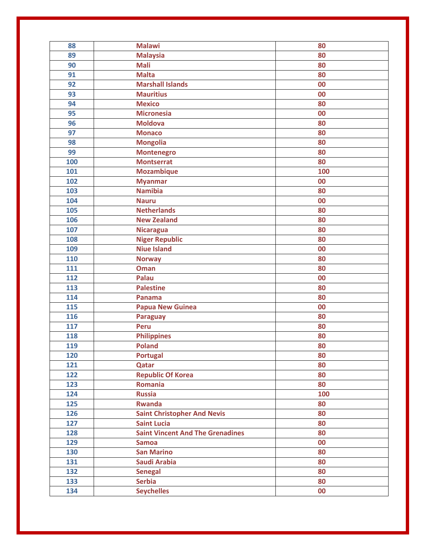| 88  | <b>Malawi</b>                           | 80  |
|-----|-----------------------------------------|-----|
| 89  | <b>Malaysia</b>                         | 80  |
| 90  | <b>Mali</b>                             | 80  |
| 91  | <b>Malta</b>                            | 80  |
| 92  | <b>Marshall Islands</b>                 | 00  |
| 93  | <b>Mauritius</b>                        | 00  |
| 94  | <b>Mexico</b>                           | 80  |
| 95  | <b>Micronesia</b>                       | 00  |
| 96  | <b>Moldova</b>                          | 80  |
| 97  | <b>Monaco</b>                           | 80  |
| 98  | <b>Mongolia</b>                         | 80  |
| 99  | <b>Montenegro</b>                       | 80  |
| 100 | <b>Montserrat</b>                       | 80  |
| 101 | <b>Mozambique</b>                       | 100 |
| 102 | <b>Myanmar</b>                          | 00  |
| 103 | <b>Namibia</b>                          | 80  |
| 104 | <b>Nauru</b>                            | 00  |
| 105 | <b>Netherlands</b>                      | 80  |
| 106 | <b>New Zealand</b>                      | 80  |
| 107 | <b>Nicaragua</b>                        | 80  |
| 108 | <b>Niger Republic</b>                   | 80  |
| 109 | <b>Niue Island</b>                      | 00  |
| 110 | <b>Norway</b>                           | 80  |
| 111 | <b>Oman</b>                             | 80  |
| 112 | <b>Palau</b>                            | 00  |
| 113 | <b>Palestine</b>                        | 80  |
| 114 | Panama                                  | 80  |
| 115 | <b>Papua New Guinea</b>                 | 00  |
| 116 | <b>Paraguay</b>                         | 80  |
| 117 | <b>Peru</b>                             | 80  |
| 118 | <b>Philippines</b>                      | 80  |
| 119 | <b>Poland</b>                           | 80  |
| 120 | <b>Portugal</b>                         | 80  |
| 121 | Qatar                                   | 80  |
| 122 | <b>Republic Of Korea</b>                | 80  |
| 123 | <b>Romania</b>                          | 80  |
| 124 | <b>Russia</b>                           | 100 |
| 125 | <b>Rwanda</b>                           | 80  |
| 126 | <b>Saint Christopher And Nevis</b>      | 80  |
| 127 | <b>Saint Lucia</b>                      | 80  |
| 128 | <b>Saint Vincent And The Grenadines</b> | 80  |
| 129 | <b>Samoa</b>                            | 00  |
| 130 | <b>San Marino</b>                       | 80  |
| 131 | Saudi Arabia                            | 80  |
| 132 | <b>Senegal</b>                          | 80  |
| 133 | <b>Serbia</b>                           | 80  |
| 134 | <b>Seychelles</b>                       | 00  |